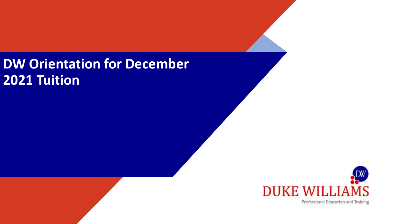# **DW Orientation for December 2021 Tuition**



Professional Education and Training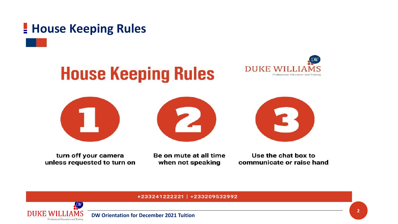# **<u>E</u>** House Keeping Rules











turn off your camera unless requested to turn on

Be on mute at all time when not speaking

Use the chat box to communicate or raise hand

#### +233241222221 | +233209532992

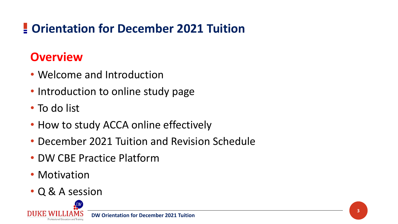# **Orientation for December 2021 Tuition**

### **Overview**

- Welcome and Introduction
- Introduction to online study page
- To do list
- How to study ACCA online effectively
- December 2021 Tuition and Revision Schedule
- DW CBE Practice Platform
- Motivation
- Q & A session

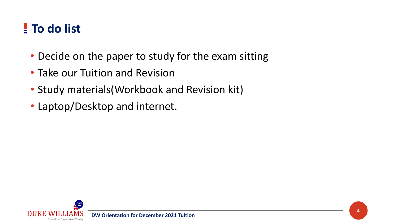# **To do list**

- Decide on the paper to study for the exam sitting
- Take our Tuition and Revision
- Study materials(Workbook and Revision kit)
- Laptop/Desktop and internet.

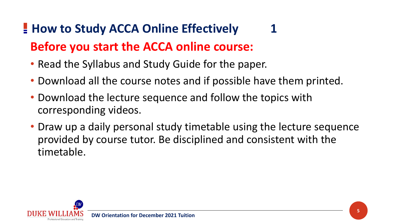# **<u></u> How to Study ACCA Online Effectively Before you start the ACCA online course:**

- Read the Syllabus and Study Guide for the paper.
- Download all the course notes and if possible have them printed.
- Download the lecture sequence and follow the topics with corresponding videos.
- Draw up a daily personal study timetable using the lecture sequence provided by course tutor. Be disciplined and consistent with the timetable.

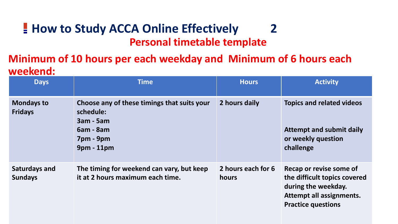### $\blacksquare$  **How to Study ACCA Online Effectively** 2 **Personal timetable template**

### **Minimum of 10 hours per each weekday and Minimum of 6 hours each weekend:**

| <b>Days</b>                            | <b>Time</b>                                                                                                            | <b>Hours</b>                | <b>Activity</b>                                                                                                                         |
|----------------------------------------|------------------------------------------------------------------------------------------------------------------------|-----------------------------|-----------------------------------------------------------------------------------------------------------------------------------------|
| <b>Mondays to</b><br><b>Fridays</b>    | Choose any of these timings that suits your<br>schedule:<br><b>3am - 5am</b><br>$6am - 8am$<br>7pm - 9pm<br>9pm - 11pm | 2 hours daily               | <b>Topics and related videos</b><br><b>Attempt and submit daily</b><br>or weekly question<br>challenge                                  |
| <b>Saturdays and</b><br><b>Sundays</b> | The timing for weekend can vary, but keep<br>it at 2 hours maximum each time.                                          | 2 hours each for 6<br>hours | Recap or revise some of<br>the difficult topics covered<br>during the weekday.<br>Attempt all assignments.<br><b>Practice questions</b> |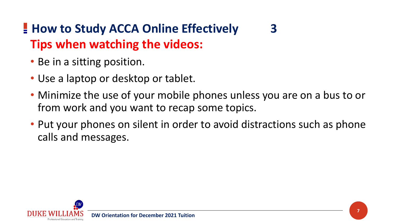# $\blacksquare$  **How to Study ACCA Online Effectively** 3 **Tips when watching the videos:**

- Be in a sitting position.
- Use a laptop or desktop or tablet.
- Minimize the use of your mobile phones unless you are on a bus to or from work and you want to recap some topics.
- Put your phones on silent in order to avoid distractions such as phone calls and messages.

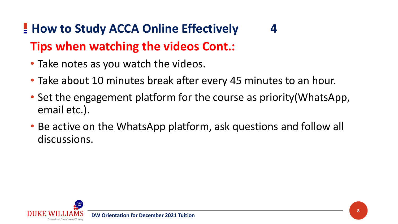# $\blacksquare$  **How to Study ACCA Online Effectively** 4 **Tips when watching the videos Cont.:**

- Take notes as you watch the videos.
- Take about 10 minutes break after every 45 minutes to an hour.
- Set the engagement platform for the course as priority(WhatsApp, email etc.).
- Be active on the WhatsApp platform, ask questions and follow all discussions.

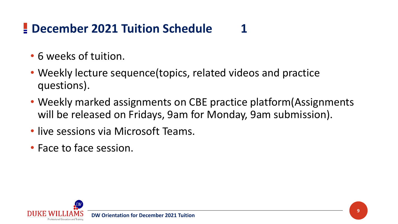# **<u>E**</u> December 2021 Tuition Schedule</u>

- 6 weeks of tuition.
- Weekly lecture sequence (topics, related videos and practice questions).
- Weekly marked assignments on CBE practice platform (Assignments will be released on Fridays, 9am for Monday, 9am submission).
- live sessions via Microsoft Teams.
- Face to face session.

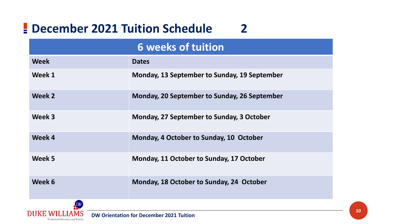# **December 2021 Tuition Schedule 2**

| <b>6 weeks of tuition</b> |                                              |  |  |  |  |
|---------------------------|----------------------------------------------|--|--|--|--|
| <b>Week</b>               | <b>Dates</b>                                 |  |  |  |  |
| Week 1                    | Monday, 13 September to Sunday, 19 September |  |  |  |  |
| Week 2                    | Monday, 20 September to Sunday, 26 September |  |  |  |  |
| Week 3                    | Monday, 27 September to Sunday, 3 October    |  |  |  |  |
| Week 4                    | Monday, 4 October to Sunday, 10 October      |  |  |  |  |
| Week 5                    | Monday, 11 October to Sunday, 17 October     |  |  |  |  |
| Week 6                    | Monday, 18 October to Sunday, 24 October     |  |  |  |  |

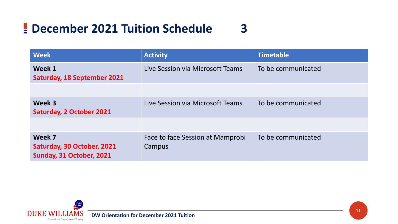# **December 2021 Tuition Schedule 3**

| <b>Week</b>                                                      | <b>Activity</b>                            | <b>Timetable</b>   |
|------------------------------------------------------------------|--------------------------------------------|--------------------|
| Week 1<br><b>Saturday, 18 September 2021</b>                     | Live Session via Microsoft Teams           | To be communicated |
|                                                                  |                                            |                    |
| Week 3<br><b>Saturday, 2 October 2021</b>                        | Live Session via Microsoft Teams           | To be communicated |
|                                                                  |                                            |                    |
| Week 7<br>Saturday, 30 October, 2021<br>Sunday, 31 October, 2021 | Face to face Session at Mamprobi<br>Campus | To be communicated |

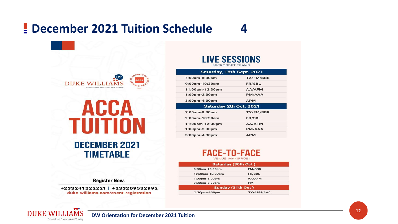## **<u>Exercise 2021 Tuition Schedule</u>**



| ANNA                                     |
|------------------------------------------|
| UITION                                   |
| <b>DECEMBER 2021</b><br><b>TIMETABLE</b> |

#### **Register Now:**

+233241222221 | +233209532992 duke-williams.com/event-registration

**DUKE WILLIAMS** 

Professional Education and Training

**DW Orientation for December 2021 Tuition**

#### **LIVE SESSIONS** MICROSOFT TEAMS

| Saturday, 18th Sept. 2021            |                  |  |  |  |  |  |  |  |
|--------------------------------------|------------------|--|--|--|--|--|--|--|
| $7:00$ am-8:30am<br><b>TX/FM/SBR</b> |                  |  |  |  |  |  |  |  |
| $9:00$ am-10:30am                    | <b>FR/SBL</b>    |  |  |  |  |  |  |  |
| 11:00am-12:30pm                      | AA/AFM           |  |  |  |  |  |  |  |
| 1:00pm-2:30pm                        | PM/AAA           |  |  |  |  |  |  |  |
| $3:00$ pm-4:30pm                     | <b>APM</b>       |  |  |  |  |  |  |  |
| <b>Saturday 2th Oct. 2021</b>        |                  |  |  |  |  |  |  |  |
|                                      |                  |  |  |  |  |  |  |  |
| $7:00am - 8:30am$                    | <b>TX/FM/SBR</b> |  |  |  |  |  |  |  |
| $9:00$ am-10:30am                    | <b>FR/SBL</b>    |  |  |  |  |  |  |  |
| 11:00am-12:30pm                      | AA/AFM           |  |  |  |  |  |  |  |
| $1:00$ pm-2:30pm                     | PM/AAA           |  |  |  |  |  |  |  |

### **FACE-TO-FACE**

**VENUE: MAMPROBI** 

|                 | Saturday (30th Oct) |  |
|-----------------|---------------------|--|
| 8:00am-10:00am  | <b>FM/SBR</b>       |  |
| 10:30am-12:30pm | FR/SBL              |  |
| 1:00pm-3:00pm   | AA/AFM              |  |
| 3:30pm-6:30pm   | <b>PM</b>           |  |
|                 | Sunday (31th Oct)   |  |
| 2:30pm-4:30pm   | TX/APM/AAA          |  |
|                 |                     |  |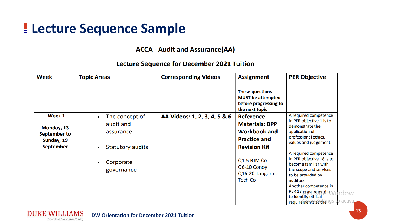# **Lecture Sequence Sample**

#### **ACCA - Audit and Assurance(AA)**

#### **Lecture Sequence for December 2021 Tuition**

| Week                                                                          | <b>Topic Areas</b>                                                                             | <b>Corresponding Videos</b>  | <b>Assignment</b>                                                                                                                                                                  | <b>PER Objective</b>                                                                                                                                                                                                                                                                                                                                                                                       |
|-------------------------------------------------------------------------------|------------------------------------------------------------------------------------------------|------------------------------|------------------------------------------------------------------------------------------------------------------------------------------------------------------------------------|------------------------------------------------------------------------------------------------------------------------------------------------------------------------------------------------------------------------------------------------------------------------------------------------------------------------------------------------------------------------------------------------------------|
|                                                                               |                                                                                                |                              | <b>These questions</b><br><b>MUST</b> be attempted<br>before progressing to<br>the next topic                                                                                      |                                                                                                                                                                                                                                                                                                                                                                                                            |
| Week 1<br>Monday, 13<br><b>September to</b><br>Sunday, 19<br><b>September</b> | The concept of<br>audit and<br>assurance<br><b>Statutory audits</b><br>Corporate<br>governance | AA Videos: 1, 2, 3, 4, 5 & 6 | <b>Reference</b><br><b>Materials: BPP</b><br><b>Workbook and</b><br><b>Practice and</b><br><b>Revision Kit</b><br>Q1-5 BJM Co<br>Q6-10 Conoy<br>Q16-20 Tangerine<br><b>Tech Co</b> | A required competence<br>in PER objective 1 is to<br>demonstrate the<br>application of<br>professional ethics,<br>values and judgement.<br>A required competence<br>in PER objective 18 is to<br>become familiar with<br>the scope and services<br>to be provided by<br>auditors.<br>Another competence in<br>PER 18 requirement is A<br>dow<br>to identify ethical<br>:o activa<br>requirements at thengs |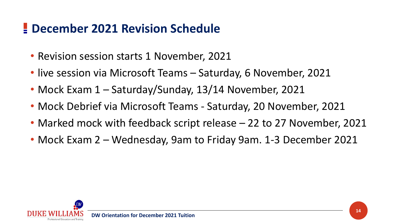# **December 2021 Revision Schedule**

- Revision session starts 1 November, 2021
- live session via Microsoft Teams Saturday, 6 November, 2021
- Mock Exam 1 Saturday/Sunday, 13/14 November, 2021
- Mock Debrief via Microsoft Teams Saturday, 20 November, 2021
- Marked mock with feedback script release 22 to 27 November, 2021
- Mock Exam 2 Wednesday, 9am to Friday 9am. 1-3 December 2021

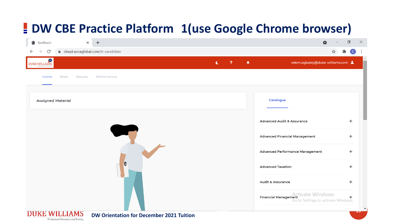# **DW CBE Practice Platform 1(use Google Chrome browser)**

|              | <sup>O</sup> TestReach         |      | $\times$ | $+$                                             |             |              |              | Q                                                                               |   | ∂  | $\times$         |
|--------------|--------------------------------|------|----------|-------------------------------------------------|-------------|--------------|--------------|---------------------------------------------------------------------------------|---|----|------------------|
| $\leftarrow$ | $\mathcal{C}$<br>$\rightarrow$ |      |          | ● cbept.accaglobal.com/tr-candidate             |             |              |              |                                                                                 | ☆ | O  | $\ddot{\ddot{}}$ |
|              | DUKE WILLIAMS                  |      |          |                                                 | $\mathbf C$ | $\mathbf{P}$ | $\spadesuit$ | edem.agbatey@duke-williams.com                                                  |   |    |                  |
|              | Home                           | Mark | Results  | Performance                                     |             |              |              |                                                                                 |   |    |                  |
|              | Assigned Material              |      |          |                                                 |             |              |              | Catalogue                                                                       |   |    |                  |
|              |                                |      |          |                                                 |             |              |              | Advanced Audit & Assurance                                                      |   | ÷  |                  |
|              |                                |      |          |                                                 |             |              |              | Advanced Financial Management                                                   |   | ÷. |                  |
|              |                                |      |          |                                                 |             |              |              | Advanced Performance Management                                                 |   | ÷. |                  |
|              |                                |      |          | C                                               |             |              |              | Advanced Taxation                                                               |   | ÷. |                  |
|              |                                |      |          |                                                 |             |              |              | Audit & Assurance                                                               |   | ÷. |                  |
|              |                                |      |          |                                                 |             |              |              | Activate Windows<br>Financial Management<br>Go to Settings to activate Windows. |   |    |                  |
|              | <b>DUKE WILLIAMS</b>           |      |          | <b>DW Orientation for December 2021 Tuition</b> |             |              |              |                                                                                 |   |    |                  |

Professional Education and Training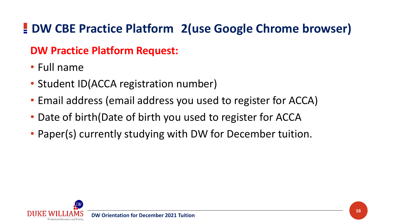# **DW CBE Practice Platform 2(use Google Chrome browser)**

### **DW Practice Platform Request:**

- Full name
- Student ID(ACCA registration number)
- Email address (email address you used to register for ACCA)
- Date of birth(Date of birth you used to register for ACCA
- Paper(s) currently studying with DW for December tuition.